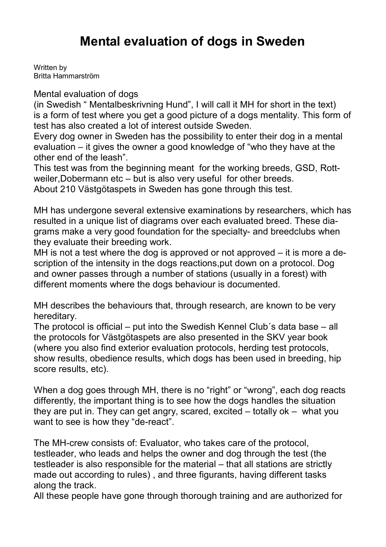Written by Britta Hammarström

Mental evaluation of dogs

(in Swedish " Mentalbeskrivning Hund", I will call it MH for short in the text) is a form of test where you get a good picture of a dogs mentality. This form of test has also created a lot of interest outside Sweden.

Every dog owner in Sweden has the possibility to enter their dog in a mental evaluation – it gives the owner a good knowledge of "who they have at the other end of the leash".

This test was from the beginning meant for the working breeds, GSD, Rottweiler,Dobermann etc – but is also very useful for other breeds. About 210 Västgötaspets in Sweden has gone through this test.

MH has undergone several extensive examinations by researchers, which has resulted in a unique list of diagrams over each evaluated breed. These diagrams make a very good foundation for the specialty- and breedclubs when they evaluate their breeding work.

MH is not a test where the dog is approved or not approved – it is more a description of the intensity in the dogs reactions,put down on a protocol. Dog and owner passes through a number of stations (usually in a forest) with different moments where the dogs behaviour is documented.

MH describes the behaviours that, through research, are known to be very hereditary.

The protocol is official – put into the Swedish Kennel Club´s data base – all the protocols for Västgötaspets are also presented in the SKV year book (where you also find exterior evaluation protocols, herding test protocols, show results, obedience results, which dogs has been used in breeding, hip score results, etc).

When a dog goes through MH, there is no "right" or "wrong", each dog reacts differently, the important thing is to see how the dogs handles the situation they are put in. They can get angry, scared, excited – totally ok – what you want to see is how they "de-react".

The MH-crew consists of: Evaluator, who takes care of the protocol, testleader, who leads and helps the owner and dog through the test (the testleader is also responsible for the material – that all stations are strictly made out according to rules) , and three figurants, having different tasks along the track.

All these people have gone through thorough training and are authorized for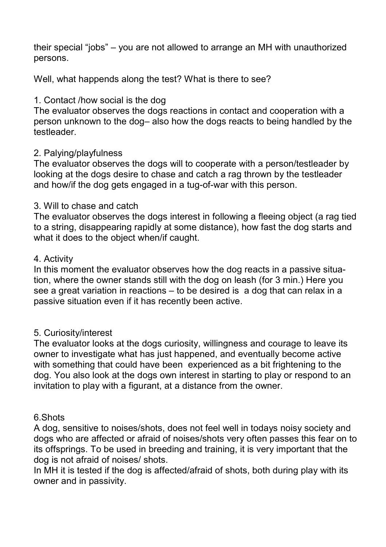their special "jobs" – you are not allowed to arrange an MH with unauthorized persons.

Well, what happends along the test? What is there to see?

# 1. Contact /how social is the dog

The evaluator observes the dogs reactions in contact and cooperation with a person unknown to the dog– also how the dogs reacts to being handled by the testleader.

## 2. Palying/playfulness

The evaluator observes the dogs will to cooperate with a person/testleader by looking at the dogs desire to chase and catch a rag thrown by the testleader and how/if the dog gets engaged in a tug-of-war with this person.

## 3. Will to chase and catch

The evaluator observes the dogs interest in following a fleeing object (a rag tied to a string, disappearing rapidly at some distance), how fast the dog starts and what it does to the object when/if caught.

#### 4. Activity

In this moment the evaluator observes how the dog reacts in a passive situation, where the owner stands still with the dog on leash (for 3 min.) Here you see a great variation in reactions – to be desired is a dog that can relax in a passive situation even if it has recently been active.

# 5. Curiosity/interest

The evaluator looks at the dogs curiosity, willingness and courage to leave its owner to investigate what has just happened, and eventually become active with something that could have been experienced as a bit frightening to the dog. You also look at the dogs own interest in starting to play or respond to an invitation to play with a figurant, at a distance from the owner.

#### 6.Shots

A dog, sensitive to noises/shots, does not feel well in todays noisy society and dogs who are affected or afraid of noises/shots very often passes this fear on to its offsprings. To be used in breeding and training, it is very important that the dog is not afraid of noises/ shots.

In MH it is tested if the dog is affected/afraid of shots, both during play with its owner and in passivity.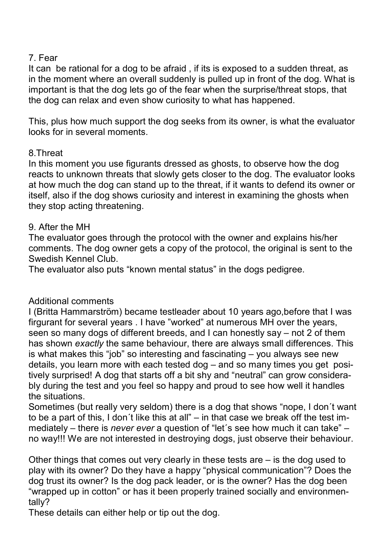# 7. Fear

It can be rational for a dog to be afraid , if its is exposed to a sudden threat, as in the moment where an overall suddenly is pulled up in front of the dog. What is important is that the dog lets go of the fear when the surprise/threat stops, that the dog can relax and even show curiosity to what has happened.

This, plus how much support the dog seeks from its owner, is what the evaluator looks for in several moments.

## 8.Threat

In this moment you use figurants dressed as ghosts, to observe how the dog reacts to unknown threats that slowly gets closer to the dog. The evaluator looks at how much the dog can stand up to the threat, if it wants to defend its owner or itself, also if the dog shows curiosity and interest in examining the ghosts when they stop acting threatening.

## 9. After the MH

The evaluator goes through the protocol with the owner and explains his/her comments. The dog owner gets a copy of the protocol, the original is sent to the Swedish Kennel Club.

The evaluator also puts "known mental status" in the dogs pedigree.

# Additional comments

I (Britta Hammarström) became testleader about 10 years ago,before that I was firgurant for several years . I have "worked" at numerous MH over the years, seen so many dogs of different breeds, and I can honestly say – not 2 of them has shown exactly the same behaviour, there are always small differences. This is what makes this "job" so interesting and fascinating – you always see new details, you learn more with each tested dog – and so many times you get positively surprised! A dog that starts off a bit shy and "neutral" can grow considerably during the test and you feel so happy and proud to see how well it handles the situations.

Sometimes (but really very seldom) there is a dog that shows "nope, I don´t want to be a part of this, I don´t like this at all" – in that case we break off the test immediately – there is never ever a question of "let's see how much it can take" – no way!!! We are not interested in destroying dogs, just observe their behaviour.

Other things that comes out very clearly in these tests are – is the dog used to play with its owner? Do they have a happy "physical communication"? Does the dog trust its owner? Is the dog pack leader, or is the owner? Has the dog been "wrapped up in cotton" or has it been properly trained socially and environmentally?

These details can either help or tip out the dog.